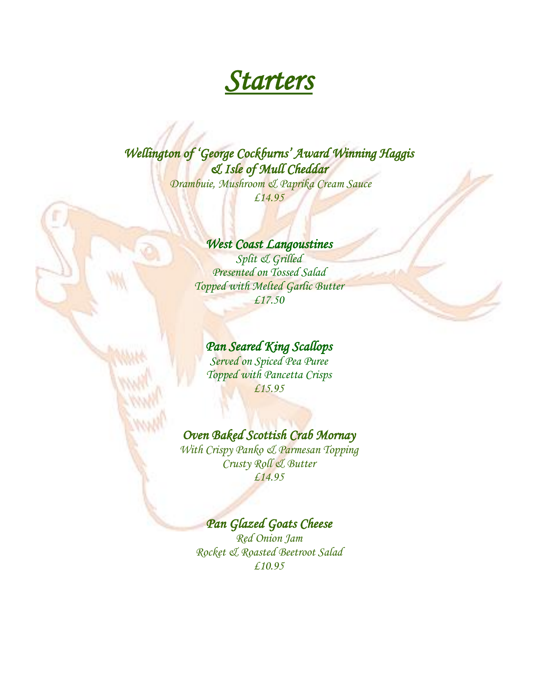# *Starters*

# *Wellington of 'George Cockburns' Award Winning Haggis & Isle of Mull Cheddar*

 *Drambuie, Mushroom & Paprika Cream Sauce £14.95*

# *West Coast Langoustines*

*Split & Grilled Presented on Tossed Salad Topped with Melted Garlic Butter £17.50*

# *Pan Seared King Scallops*

*Served on Spiced Pea Puree Topped with Pancetta Crisps £15.95*

# *Oven Baked Scottish Crab Mornay*

*With Crispy Panko & Parmesan Topping Crusty Roll & Butter £14.95*

# *Pan Glazed Goats Cheese*

*Red Onion Jam Rocket & Roasted Beetroot Salad £10.95*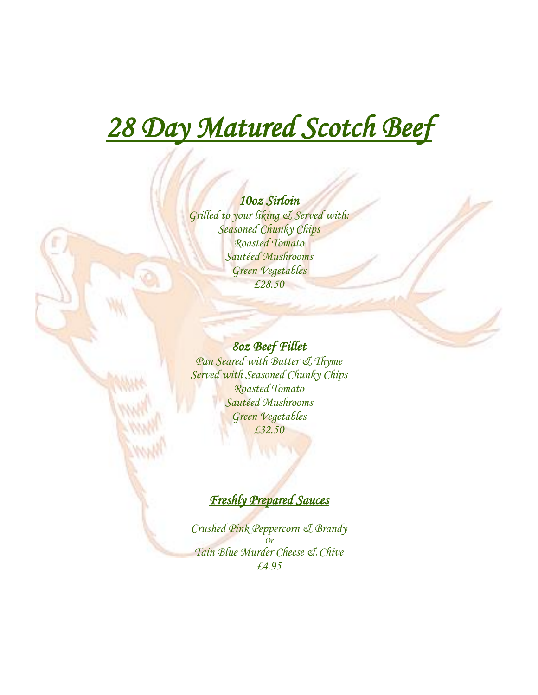# *28 Day Matured Scotch Beef*

# *10oz Sirloin*

*Grilled to your liking & Served with: Seasoned Chunky Chips Roasted Tomato Sautéed Mushrooms Green Vegetables £28.50*

# *8oz Beef Fillet*

*Pan Seared with Butter & Thyme Served with Seasoned Chunky Chips Roasted Tomato Sautéed Mushrooms Green Vegetables £32.50*

# *Freshly Prepared Sauces*

*Crushed Pink Peppercorn & Brandy Or Tain Blue Murder Cheese & Chive £4.95*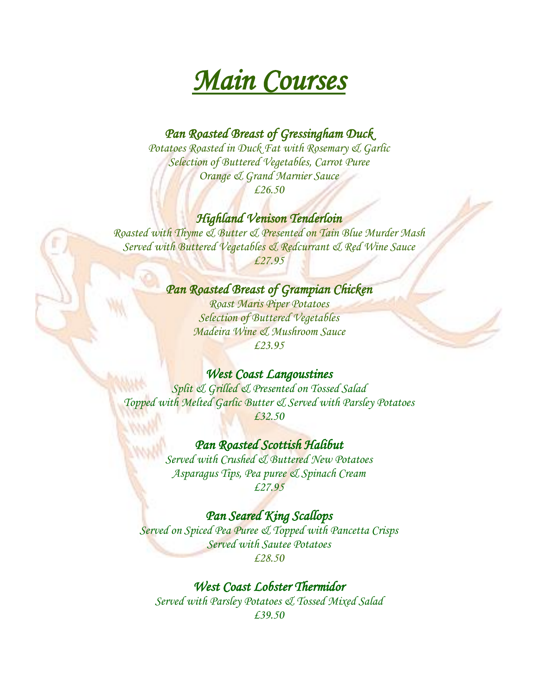

# *Pan Roasted Breast of Gressingham Duck*

*Potatoes Roasted in Duck Fat with Rosemary & Garlic Selection of Buttered Vegetables, Carrot Puree Orange & Grand Marnier Sauce £26.50*

#### *Highland Venison Tenderloin*

*Roasted with Thyme & Butter & Presented on Tain Blue Murder Mash Served with Buttered Vegetables & Redcurrant & Red Wine Sauce £27.95*

# *Pan Roasted Breast of Grampian Chicken*

*Roast Maris Piper Potatoes Selection of Buttered Vegetables Madeira Wine & Mushroom Sauce £23.95*

## *West Coast Langoustines*

*Split & Grilled & Presented on Tossed Salad Topped with Melted Garlic Butter & Served with Parsley Potatoes £32.50*

#### *Pan Roasted Scottish Halibut*

*Served with Crushed & Buttered New Potatoes Asparagus Tips, Pea puree & Spinach Cream £27.95*

#### *Pan Seared King Scallops*

*Served on Spiced Pea Puree & Topped with Pancetta Crisps Served with Sautee Potatoes £28.50*

# *West Coast Lobster Thermidor*

*Served with Parsley Potatoes & Tossed Mixed Salad £39.50*